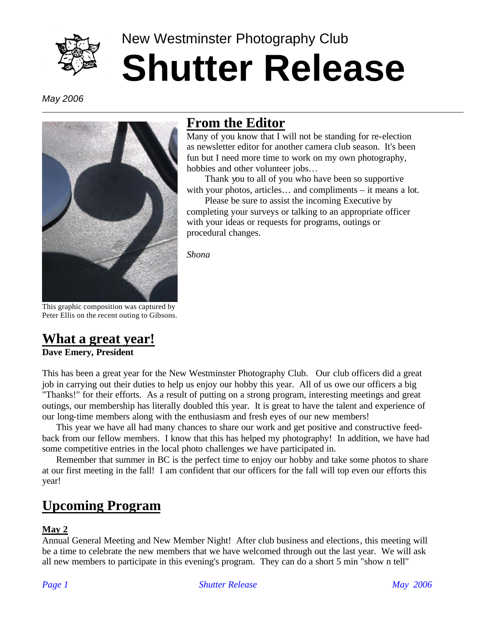

# New Westminster Photography Club **Shutter Release**

*May 2006*



#### **From the Editor**

Many of you know that I will not be standing for re-election as newsletter editor for another camera club season. It's been fun but I need more time to work on my own photography, hobbies and other volunteer jobs…

Thank you to all of you who have been so supportive with your photos, articles… and compliments – it means a lot.

Please be sure to assist the incoming Executive by completing your surveys or talking to an appropriate officer with your ideas or requests for programs, outings or procedural changes.

*Shona* 

This graphic composition was captured by Peter Ellis on the recent outing to Gibsons.

#### **What a great year! Dave Emery, President**

This has been a great year for the New Westminster Photography Club. Our club officers did a great job in carrying out their duties to help us enjoy our hobby this year. All of us owe our officers a big "Thanks!" for their efforts. As a result of putting on a strong program, interesting meetings and great outings, our membership has literally doubled this year. It is great to have the talent and experience of our long-time members along with the enthusiasm and fresh eyes of our new members!

This year we have all had many chances to share our work and get positive and constructive feedback from our fellow members. I know that this has helped my photography! In addition, we have had some competitive entries in the local photo challenges we have participated in.

Remember that summer in BC is the perfect time to enjoy our hobby and take some photos to share at our first meeting in the fall! I am confident that our officers for the fall will top even our efforts this year!

## **Upcoming Program**

#### **May 2**

Annual General Meeting and New Member Night! After club business and elections, this meeting will be a time to celebrate the new members that we have welcomed through out the last year. We will ask all new members to participate in this evening's program. They can do a short 5 min "show n tell"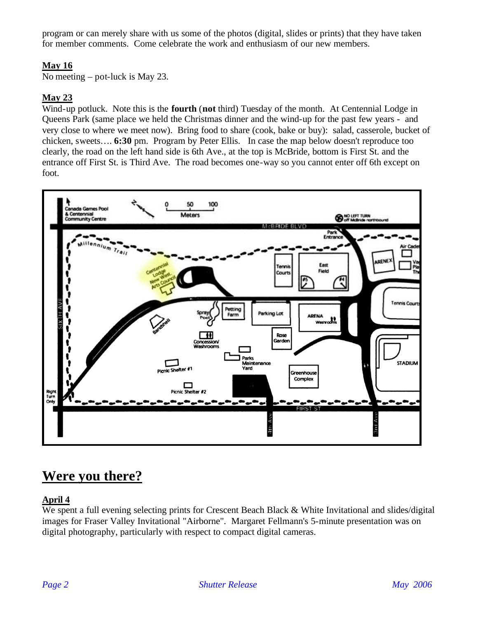program or can merely share with us some of the photos (digital, slides or prints) that they have taken for member comments. Come celebrate the work and enthusiasm of our new members.

#### **May 16**

No meeting – pot-luck is May 23.

#### **May 23**

Wind-up potluck. Note this is the **fourth** (**not** third) Tuesday of the month. At Centennial Lodge in Queens Park (same place we held the Christmas dinner and the wind-up for the past few years - and very close to where we meet now). Bring food to share (cook, bake or buy): salad, casserole, bucket of chicken, sweets…. **6:30** pm. Program by Peter Ellis. In case the map below doesn't reproduce too clearly, the road on the left hand side is 6th Ave., at the top is McBride, bottom is First St. and the entrance off First St. is Third Ave. The road becomes one-way so you cannot enter off 6th except on foot.



## **Were you there?**

#### **April 4**

We spent a full evening selecting prints for Crescent Beach Black & White Invitational and slides/digital images for Fraser Valley Invitational "Airborne". Margaret Fellmann's 5-minute presentation was on digital photography, particularly with respect to compact digital cameras.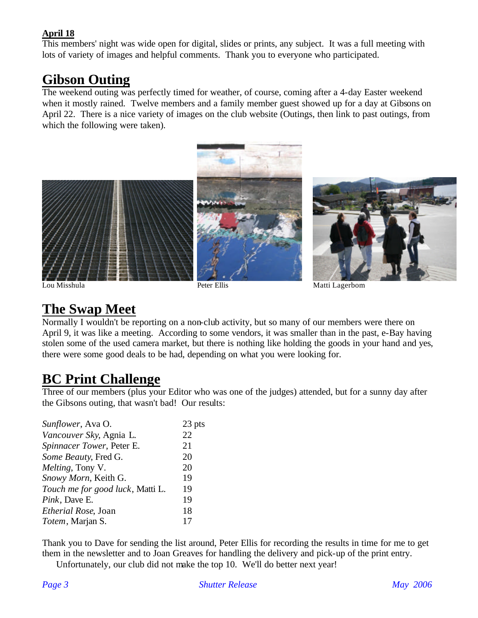#### **April 18**

This members' night was wide open for digital, slides or prints, any subject. It was a full meeting with lots of variety of images and helpful comments. Thank you to everyone who participated.

#### **Gibson Outing**

The weekend outing was perfectly timed for weather, of course, coming after a 4-day Easter weekend when it mostly rained. Twelve members and a family member guest showed up for a day at Gibsons on April 22. There is a nice variety of images on the club website (Outings, then link to past outings, from which the following were taken).



Lou Misshula **Peter Ellis** Peter Ellis Matti Lagerbom

## **The Swap Meet**

Normally I wouldn't be reporting on a non-club activity, but so many of our members were there on April 9, it was like a meeting. According to some vendors, it was smaller than in the past, e-Bay having stolen some of the used camera market, but there is nothing like holding the goods in your hand and yes, there were some good deals to be had, depending on what you were looking for.

#### **BC Print Challenge**

Three of our members (plus your Editor who was one of the judges) attended, but for a sunny day after the Gibsons outing, that wasn't bad! Our results:

| Sunflower, Ava O.                | 23 pts |
|----------------------------------|--------|
| Vancouver Sky, Agnia L.          | 22     |
| Spinnacer Tower, Peter E.        | 21     |
| Some Beauty, Fred G.             | 20     |
| Melting, Tony V.                 | 20     |
| Snowy Morn, Keith G.             | 19     |
| Touch me for good luck, Matti L. | 19     |
| Pink, Dave E.                    | 19     |
| Etherial Rose, Joan              | 18     |
| Totem, Marjan S.                 | 17     |

Thank you to Dave for sending the list around, Peter Ellis for recording the results in time for me to get them in the newsletter and to Joan Greaves for handling the delivery and pick-up of the print entry.

Unfortunately, our club did not make the top 10. We'll do better next year!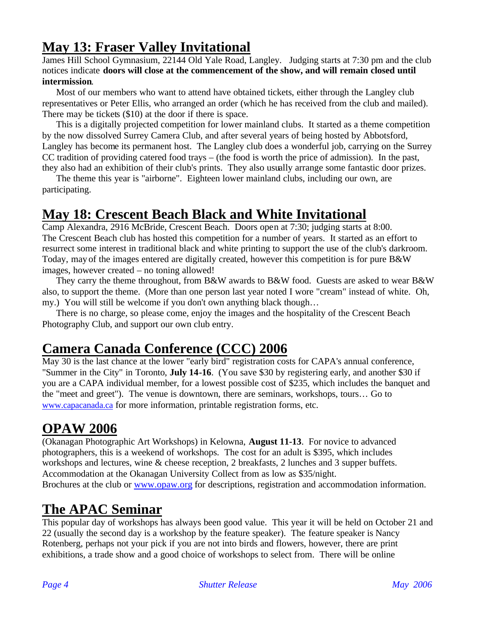## **May 13: Fraser Valley Invitational**

James Hill School Gymnasium, 22144 Old Yale Road, Langley. Judging starts at 7:30 pm and the club notices indicate **doors will close at the commencement of the show, and will remain closed until intermission**.

Most of our members who want to attend have obtained tickets, either through the Langley club representatives or Peter Ellis, who arranged an order (which he has received from the club and mailed). There may be tickets (\$10) at the door if there is space.

This is a digitally projected competition for lower mainland clubs. It started as a theme competition by the now dissolved Surrey Camera Club, and after several years of being hosted by Abbotsford, Langley has become its permanent host. The Langley club does a wonderful job, carrying on the Surrey CC tradition of providing catered food trays – (the food is worth the price of admission). In the past, they also had an exhibition of their club's prints. They also usually arrange some fantastic door prizes.

The theme this year is "airborne". Eighteen lower mainland clubs, including our own, are participating.

## **May 18: Crescent Beach Black and White Invitational**

Camp Alexandra, 2916 McBride, Crescent Beach. Doors open at 7:30; judging starts at 8:00. The Crescent Beach club has hosted this competition for a number of years. It started as an effort to resurrect some interest in traditional black and white printing to support the use of the club's darkroom. Today, may of the images entered are digitally created, however this competition is for pure B&W images, however created – no toning allowed!

They carry the theme throughout, from B&W awards to B&W food. Guests are asked to wear B&W also, to support the theme. (More than one person last year noted I wore "cream" instead of white. Oh, my.) You will still be welcome if you don't own anything black though…

There is no charge, so please come, enjoy the images and the hospitality of the Crescent Beach Photography Club, and support our own club entry.

#### **Camera Canada Conference (CCC) 2006**

May 30 is the last chance at the lower "early bird" registration costs for CAPA's annual conference, "Summer in the City" in Toronto, **July 14-16**. (You save \$30 by registering early, and another \$30 if you are a CAPA individual member, for a lowest possible cost of \$235, which includes the banquet and the "meet and greet"). The venue is downtown, there are seminars, workshops, tours… Go to www.capacanada.ca for more information, printable registration forms, etc.

#### **OPAW 2006**

(Okanagan Photographic Art Workshops) in Kelowna, **August 11-13**. For novice to advanced photographers, this is a weekend of workshops. The cost for an adult is \$395, which includes workshops and lectures, wine & cheese reception, 2 breakfasts, 2 lunches and 3 supper buffets. Accommodation at the Okanagan University Collect from as low as \$35/night. Brochures at the club or www.opaw.org for descriptions, registration and accommodation information.

## **The APAC Seminar**

This popular day of workshops has always been good value. This year it will be held on October 21 and 22 (usually the second day is a workshop by the feature speaker). The feature speaker is Nancy Rotenberg, perhaps not your pick if you are not into birds and flowers, however, there are print exhibitions, a trade show and a good choice of workshops to select from. There will be online